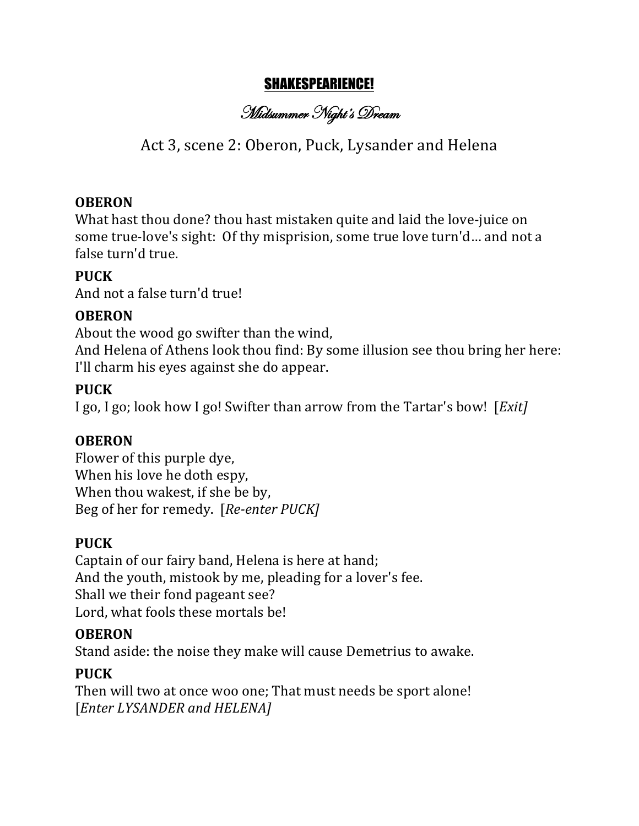# SHAKESPEARIENCE!

Midsummer Night's Dream

# Act 3, scene 2: Oberon, Puck, Lysander and Helena

### **OBERON**

What hast thou done? thou hast mistaken quite and laid the love-juice on some true-love's sight: Of thy misprision, some true love turn'd... and not a false turn'd true.

## **PUCK**

And not a false turn'd true!

### **OBERON**

About the wood go swifter than the wind, And Helena of Athens look thou find: By some illusion see thou bring her here: I'll charm his eyes against she do appear.

### **PUCK**

I go, I go; look how I go! Swifter than arrow from the Tartar's bow! [*Exit]* 

### **OBERON**

Flower of this purple dye, When his love he doth espy, When thou wakest, if she be by, Beg of her for remedy. [Re-enter PUCK]

## **PUCK**

Captain of our fairy band, Helena is here at hand; And the youth, mistook by me, pleading for a lover's fee. Shall we their fond pageant see? Lord, what fools these mortals be!

### **OBERON**

Stand aside: the noise they make will cause Demetrius to awake.

## **PUCK**

Then will two at once woo one; That must needs be sport alone! [*Enter LYSANDER and HELENA]*